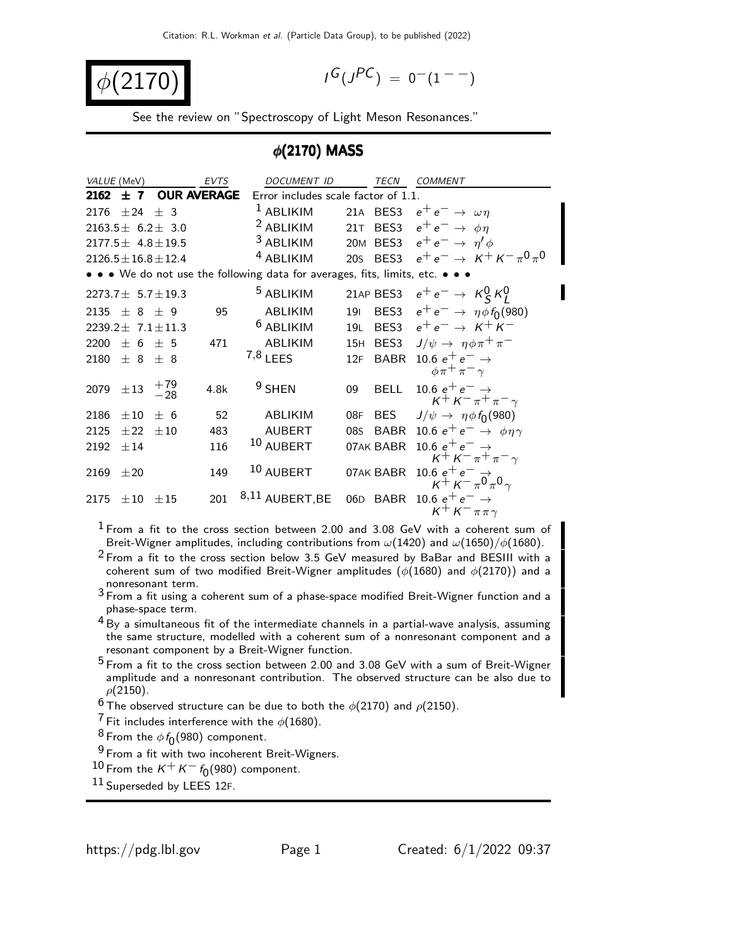$$
\phi(2170)
$$

$$
I^G(J^{PC})\ =\ 0^-(1^{--})
$$

See the review on "Spectroscopy of Light Meson Resonances."

#### $\phi$ (2170) MASS

| VALUE (MeV)  |                                 |                             | <b>EVTS</b> | <b>DOCUMENT ID</b>                                                            |            | TECN | <b>COMMENT</b>                                                      |
|--------------|---------------------------------|-----------------------------|-------------|-------------------------------------------------------------------------------|------------|------|---------------------------------------------------------------------|
| $2162 \pm 7$ |                                 | <b>OUR AVERAGE</b>          |             | Error includes scale factor of 1.1.                                           |            |      |                                                                     |
|              | 2176 $\pm 24 \pm 3$             |                             |             | $1$ ABLIKIM                                                                   |            |      | 21A BES3 $e^+e^- \rightarrow \omega \eta$                           |
|              |                                 | $2163.5 \pm 6.2 \pm 3.0$    |             | <sup>2</sup> ABLIKIM                                                          |            |      | 21T BES3 $e^+e^- \rightarrow \phi \eta$                             |
|              |                                 | $2177.5 \pm 4.8 \pm 19.5$   |             | $3$ ABLIKIM                                                                   |            |      | 20M BES3 $e^+e^- \rightarrow \eta' \phi$                            |
|              |                                 | $2126.5 \pm 16.8 \pm 12.4$  |             | <sup>4</sup> ABLIKIM                                                          |            |      | 20s BES3 $e^+e^- \rightarrow K^+K^-\pi^0\pi^0$                      |
|              |                                 |                             |             | • • • We do not use the following data for averages, fits, limits, etc. • • • |            |      |                                                                     |
|              |                                 | $2273.7 \pm 5.7 \pm 19.3$   |             | <sup>5</sup> ABLIKIM                                                          |            |      | 21AP BES3 $e^+e^- \rightarrow K_S^0 K_I^0$                          |
|              | 2135 $\pm$ 8 $\pm$ 9            |                             | 95          | ABLIKIM                                                                       | <b>191</b> |      | BES3 $e^+e^- \to \eta \phi f_0(980)$                                |
|              |                                 | 2239.2 $\pm$ 7.1 $\pm$ 11.3 |             | <sup>6</sup> ABLIKIM                                                          | 19L        |      | BES3 $e^+e^- \rightarrow K^+K^-$                                    |
|              | 2200 $\pm$ 6 $\pm$ 5            |                             | 471         | <b>ABLIKIM</b>                                                                |            |      | 15H BES3 $J/\psi \rightarrow \eta \phi \pi^+ \pi^-$                 |
|              | $2180 \pm 8 \pm 8$              |                             |             | $7,8$ LEES                                                                    |            |      | 12F BABR 10.6 $e^+e^- \rightarrow$                                  |
|              |                                 |                             |             |                                                                               |            |      | $\phi \pi^+ \pi^- \gamma$                                           |
|              | 2079 $\pm$ 13 $\frac{+79}{-28}$ |                             | 4.8k        | $9$ SHEN                                                                      | 09         | BELL | 10.6 $e^+e^- \rightarrow$<br>$K^+K^-\pi^+\pi^-\gamma$               |
| 2186         | $\pm 10$                        | ± 6                         | 52          | <b>ABLIKIM</b>                                                                | 08F        |      | BES $J/\psi \rightarrow \eta \phi f_0(980)$                         |
| 2125         | $\pm 22$                        | $\pm 10$                    | 483         | <b>AUBERT</b>                                                                 |            |      | 085 BABR 10.6 $e^+e^- \rightarrow \phi \eta \gamma$                 |
| 2192         | ±14                             |                             | 116         | <sup>10</sup> AUBERT                                                          |            |      | 07AK BABR 10.6 $e^+e^- \rightarrow$                                 |
|              |                                 |                             |             |                                                                               |            |      | $K^{+} K^{-} \pi^{+} \pi^{-} \gamma$                                |
| 2169         | $\pm 20$                        |                             | 149         | 10 AUBERT                                                                     |            |      | 07AK BABR 10.6 $e^+e^- \rightarrow$<br>$K^+ K^- \pi^0 \pi^0 \gamma$ |
| 2175         | $\pm 10$                        | ±15                         | 201         | $8,11$ AUBERT, BE                                                             |            |      | 06D BABR 10.6 $e^+e^- \rightarrow$<br>$K^+ K^- \pi \pi \gamma$      |

1 From a fit to the cross section between 2.00 and 3.08 GeV with a coherent sum of Breit-Wigner amplitudes, including contributions from  $\omega(1420)$  and  $\omega(1650)/\phi(1680)$ .

 $2$  From a fit to the cross section below 3.5 GeV measured by BaBar and BESIII with a coherent sum of two modified Breit-Wigner amplitudes  $(\phi(1680)$  and  $\phi(2170))$  and a nonresonant term.

3 From a fit using a coherent sum of a phase-space modified Breit-Wigner function and a phase-space term.

4 By a simultaneous fit of the intermediate channels in a partial-wave analysis, assuming the same structure, modelled with a coherent sum of a nonresonant component and a resonant component by a Breit-Wigner function.

5 From a fit to the cross section between 2.00 and 3.08 GeV with a sum of Breit-Wigner amplitude and a nonresonant contribution. The observed structure can be also due to  $\rho$ (2150).

<sup>6</sup> The observed structure can be due to both the  $\phi$ (2170) and  $\rho$ (2150).

<sup>7</sup> Fit includes interference with the  $\phi(1680)$ .

 $^8$  From the  $\phi f_0(980)$  component.

9 From a fit with two incoherent Breit-Wigners.

 $10$  From the  $K^+ K^- f_0(980)$  component.

11 Superseded by LEES 12F.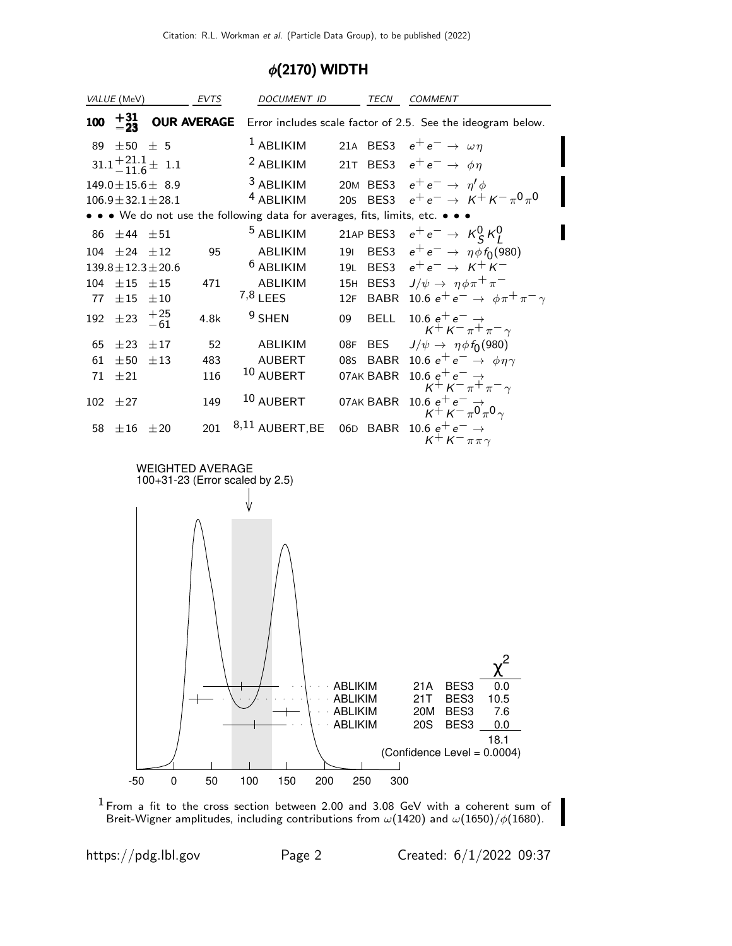## φ(2170) WIDTH

|     | VALUE (MeV)                                                |                            | EVTS               | DOCUMENT ID          |                                                                           | TECN        | COMMENT                                                                                      |  |
|-----|------------------------------------------------------------|----------------------------|--------------------|----------------------|---------------------------------------------------------------------------|-------------|----------------------------------------------------------------------------------------------|--|
| 100 | $+31$<br>$-23$                                             |                            | <b>OUR AVERAGE</b> |                      |                                                                           |             | Error includes scale factor of 2.5. See the ideogram below.                                  |  |
| 89  | $\pm 50$ $\pm$ 5                                           |                            |                    | $1$ ABLIKIM          |                                                                           |             | 21A BES3 $e^+e^- \rightarrow \omega \eta$                                                    |  |
|     |                                                            | $31.1 + 21.1 + 11.6 = 1.1$ |                    | <sup>2</sup> ABLIKIM |                                                                           |             | 21T BES3 $e^+e^- \rightarrow \phi \eta$                                                      |  |
|     |                                                            | $149.0 \pm 15.6 \pm 8.9$   |                    | <sup>3</sup> ABLIKIM |                                                                           |             | 20M BES3 $e^+e^- \rightarrow \eta' \phi$                                                     |  |
|     |                                                            | $106.9 \pm 32.1 \pm 28.1$  |                    | <sup>4</sup> ABLIKIM |                                                                           |             | 20s BES3 $e^+e^- \rightarrow K^+K^-\pi^0\pi^0$                                               |  |
|     |                                                            |                            |                    |                      | • • We do not use the following data for averages, fits, limits, etc. • • |             |                                                                                              |  |
| 86  | $\pm 44$ $\pm 51$                                          |                            |                    | <sup>5</sup> ABLIKIM |                                                                           |             | 21AP BES3 $e^+e^- \rightarrow K_S^0 K_I^0$                                                   |  |
| 104 | $\pm 24$ $\pm 12$                                          |                            | 95                 | ABLIKIM              | 191                                                                       |             | BES3 $e^+e^- \rightarrow \eta \phi f_0(980)$                                                 |  |
|     |                                                            | $139.8 \pm 12.3 \pm 20.6$  |                    | <sup>6</sup> ABLIKIM |                                                                           |             | 19L BES3 $e^+e^- \rightarrow K^+K^-$                                                         |  |
| 104 | $±15$ $±15$                                                |                            | 471                | ABLIKIM              |                                                                           | 15H BES3    | $J/\psi \rightarrow \eta \phi \pi^+ \pi^-$                                                   |  |
| 77  | $\pm\,15$ $\pm10$                                          |                            |                    | $7,8$ LEES           | 12F                                                                       |             | BABR 10.6 $e^+e^- \rightarrow \phi \pi^+ \pi^- \gamma$                                       |  |
| 192 | $\pm 23$                                                   | $^{+25}_{-61}$             | 4.8k               | $9$ SHEN             | 09                                                                        | <b>BELL</b> | 10.6 $e^+e^- \rightarrow \kappa^+ \kappa^- \pi^+ \pi^- \gamma$                               |  |
| 65  | $\pm 23$ $\pm 17$                                          |                            | 52                 | ABLIKIM              | 08F                                                                       | <b>BES</b>  | $J/\psi \rightarrow \eta \phi f_0(980)$                                                      |  |
| 61  | $\pm 50$ $\pm 13$                                          |                            | 483                | AUBERT               |                                                                           | 08s BABR    | 10.6 $e^+e^- \rightarrow \phi \eta \gamma$                                                   |  |
| 71  | $\pm 21$                                                   |                            | 116                | 10 AUBERT            |                                                                           | 07AK BABR   | 10.6 $e^+e^- \rightarrow$<br>$K^+K^-\pi^+\pi^-\gamma$                                        |  |
| 102 | ±27                                                        |                            | 149                | $10$ AUBERT          |                                                                           | 07AK BABR   | 10.6 $e^+e^-$<br>$K^+K^-\pi^0\pi^0$                                                          |  |
| 58  | $\pm 16$ $\pm 20$                                          |                            | 201                | $8,11$ AUBERT, BE    |                                                                           | 06D BABR    | 10.6 $e^+e^- \rightarrow$<br>$K^+ K^- \pi \pi \gamma$                                        |  |
|     | <b>WEIGHTED AVERAGE</b><br>100+31-23 (Error scaled by 2.5) |                            |                    |                      |                                                                           |             |                                                                                              |  |
|     |                                                            |                            |                    |                      | <b>ABLIKIM</b><br>ABLIKIM<br><b>ABLIKIM</b><br>ABLIKIM                    |             | 21A<br>BES3<br>0.0<br>21T<br>BES3<br>10.5<br>20M<br>BES3<br>7.6<br><b>20S</b><br>BES3<br>0.0 |  |
|     |                                                            |                            |                    |                      |                                                                           |             | 18.1<br>(Confidence Level = 0.0004)                                                          |  |
|     | $-50$                                                      | $\pmb{0}$                  | 50                 | 100<br>150           | 200<br>250                                                                | 300         |                                                                                              |  |
|     |                                                            |                            |                    |                      |                                                                           |             |                                                                                              |  |

 $1$  From a fit to the cross section between 2.00 and 3.08 GeV with a coherent sum of Breit-Wigner amplitudes, including contributions from  $\omega(1420)$  and  $\omega(1650)/\phi(1680).$ 

https://pdg.lbl.gov Page 2 Created: 6/1/2022 09:37

I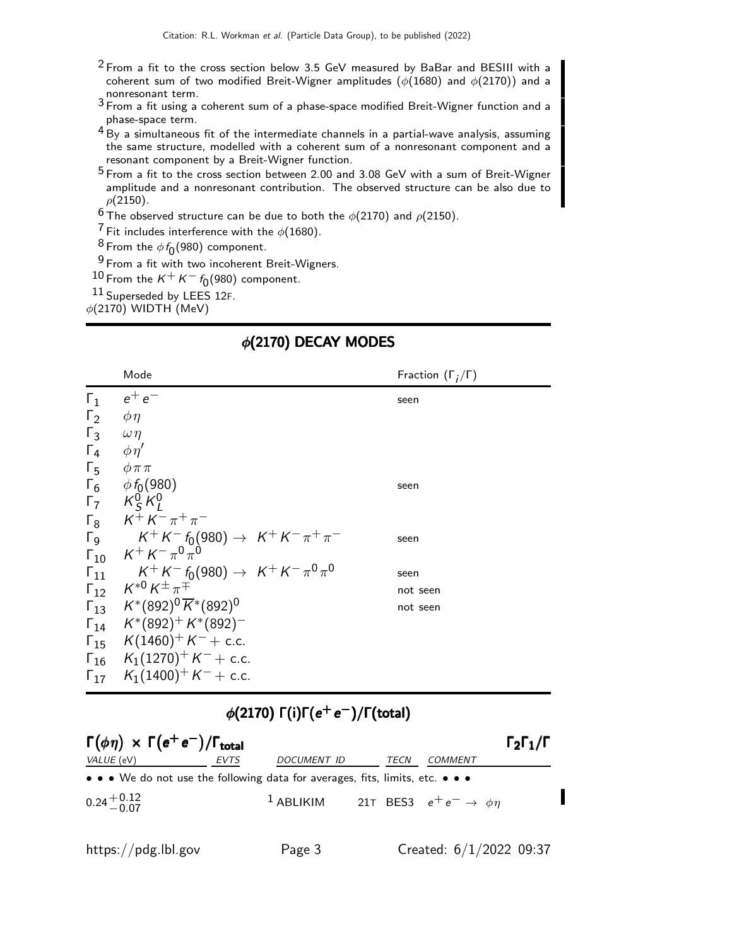- $2$  From a fit to the cross section below 3.5 GeV measured by BaBar and BESIII with a coherent sum of two modified Breit-Wigner amplitudes ( $\phi(1680)$  and  $\phi(2170)$ ) and a
- monresonant term.<br><sup>3</sup> From a fit using a coherent sum of a phase-space modified Breit-Wigner function and a phase-space term.
- 4 By a simultaneous fit of the intermediate channels in a partial-wave analysis, assuming the same structure, modelled with a coherent sum of a nonresonant component and a resonant component by a Breit-Wigner function.
- 5 From a fit to the cross section between 2.00 and 3.08 GeV with a sum of Breit-Wigner amplitude and a nonresonant contribution. The observed structure can be also due to  $\rho$ (2150).
- <sup>6</sup> The observed structure can be due to both the  $\phi$ (2170) and  $\rho$ (2150).
- <sup>7</sup> Fit includes interference with the  $\phi(1680)$ .
- $^8$  From the  $\phi f_0(980)$  component.
- 9 From a fit with two incoherent Breit-Wigners.
- $10$  From the  $K^+ K^- f_0(980)$  component.
- 11 Superseded by LEES 12F.
- $\phi$ (2170) WIDTH (MeV)

### φ(2170) DECAY MODES

|                       | Mode                                                                   | Fraction $(\Gamma_i/\Gamma)$ |
|-----------------------|------------------------------------------------------------------------|------------------------------|
| $\Gamma_1$            | $e^+e^-$                                                               | seen                         |
| $\Gamma_2$            | $\phi\eta$                                                             |                              |
| $\Gamma_3$            | $\omega \eta$                                                          |                              |
| $\Gamma_4$            | $\phi \eta'$                                                           |                              |
| $\Gamma_5$            | $\phi \pi \pi$                                                         |                              |
| $\Gamma_6$            | $\phi f_0(980)$                                                        | seen                         |
|                       | $\mathsf{\Gamma}^7$ $\mathsf{K}^0$ $\mathsf{K}^0$                      |                              |
| $\Gamma_8$            | $K^+ K^- \pi^+ \pi^-$                                                  |                              |
| $\Gamma$ <sub>9</sub> | $K^+ K^- f_0(980) \rightarrow K^+ K^- \pi^+ \pi^-$                     | seen                         |
| $\Gamma_{10}$         | $K^+ K^- \pi^0 \pi^0$                                                  |                              |
| $\Gamma_{11}$         | $K^+K^-f_0(980)\rightarrow K^+K^-\pi^0\pi^0$                           | seen                         |
| $\Gamma_{12}$         | $K^{*0}\,K^\pm\pi^\mp$                                                 | not seen                     |
|                       | $\Gamma_{13}$ $K^*(892)^0 \overline{K}^*(892)^0$                       | not seen                     |
|                       | $\Gamma_{14}$ $K^*(892)^+ K^*(892)^-$                                  |                              |
|                       | $\Gamma_{15}$ K(1460) <sup>+</sup> K <sup>-</sup> + c.c.               |                              |
|                       | $\Gamma_{16}$ K <sub>1</sub> (1270) <sup>+</sup> K <sup>-</sup> + c.c. |                              |
|                       | $\Gamma_{17}$ K <sub>1</sub> (1400) <sup>+</sup> K <sup>-</sup> + c.c. |                              |

## $\phi(2170)$   $\Gamma(i)\Gamma(e^+e^-)/\Gamma(\text{total})$

| $\Gamma(\phi \eta) \times \Gamma(e^+e^-)/\Gamma_{\text{total}}$               |      |                    |      |                                                              |  |  |  |
|-------------------------------------------------------------------------------|------|--------------------|------|--------------------------------------------------------------|--|--|--|
| VALUE (eV)                                                                    | EVTS | <i>DOCUMENT ID</i> | TECN | COMMENT                                                      |  |  |  |
| • • • We do not use the following data for averages, fits, limits, etc. • • • |      |                    |      |                                                              |  |  |  |
| $0.24 + 0.12$                                                                 |      |                    |      | <sup>1</sup> ABLIKIM 21T BES3 $e^+e^- \rightarrow \phi \eta$ |  |  |  |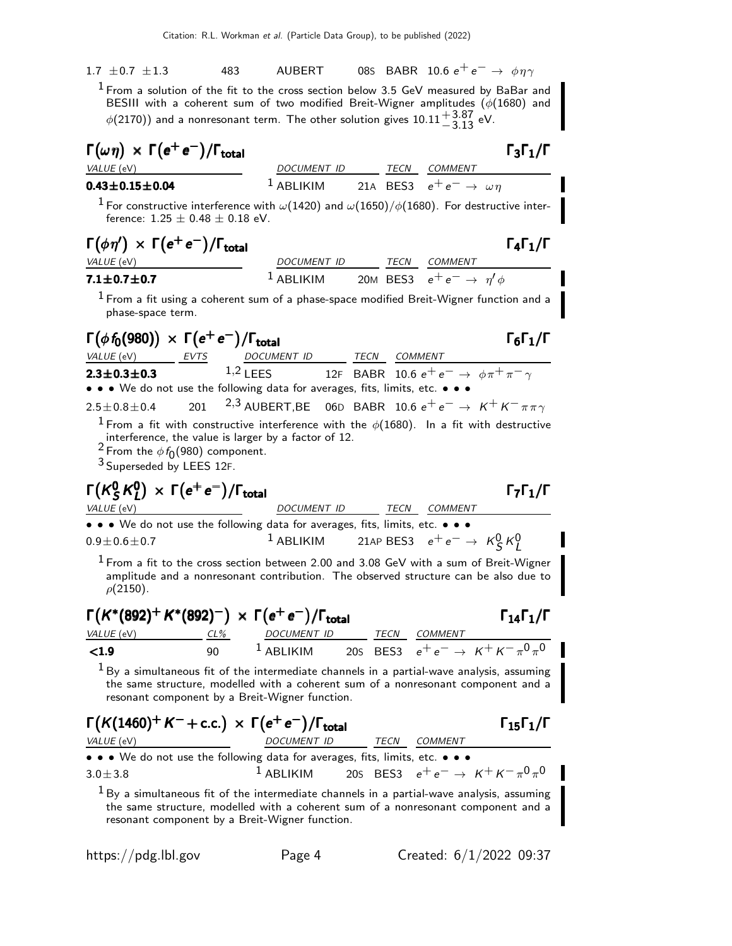1.7 ±0.7 ±1.3 483 AUBERT 08S BABR 10.6  $e^+e^- \to \phi \eta \gamma$  $^1$  From a solution of the fit to the cross section below 3.5 GeV measured by BaBar and BESIII with a coherent sum of two modified Breit-Wigner amplitudes  $(\phi(1680)$  and  $\phi(2170))$  and a nonresonant term. The other solution gives  $10.11 {+3.87 \atop -3.13}$  eV.

| $\Gamma(\omega \eta) \times \Gamma(e^+e^-)/\Gamma_{\rm total}$                                                                                                                                                                                                                                                                                                                  |                                                                     |  |      |                                           | $\Gamma_3\Gamma_1/\Gamma$                      |  |
|---------------------------------------------------------------------------------------------------------------------------------------------------------------------------------------------------------------------------------------------------------------------------------------------------------------------------------------------------------------------------------|---------------------------------------------------------------------|--|------|-------------------------------------------|------------------------------------------------|--|
| VALUE (eV)                                                                                                                                                                                                                                                                                                                                                                      | DOCUMENT ID                                                         |  |      | TECN COMMENT                              |                                                |  |
| $0.43 \pm 0.15 \pm 0.04$                                                                                                                                                                                                                                                                                                                                                        | $1$ ABLIKIM                                                         |  |      | 21A BES3 $e^+e^- \rightarrow \omega \eta$ |                                                |  |
| $^1$ For constructive interference with $\omega(1420)$ and $\omega(1650)/\phi(1680)$ . For destructive inter-<br>ference: $1.25 \pm 0.48 \pm 0.18$ eV.                                                                                                                                                                                                                          |                                                                     |  |      |                                           |                                                |  |
| $\Gamma(\phi \eta') \times \Gamma(e^+ e^-)/\Gamma_{\text{total}}$<br>VALUE (eV)                                                                                                                                                                                                                                                                                                 | DOCUMENT ID TECN COMMENT                                            |  |      |                                           | $\Gamma_4\Gamma_1/\Gamma$                      |  |
| $7.1 \pm 0.7 \pm 0.7$                                                                                                                                                                                                                                                                                                                                                           | <sup>1</sup> ABLIKIM 20M BES3 $e^+e^- \rightarrow \eta' \phi$       |  |      |                                           |                                                |  |
| $^{\rm 1}$ From a fit using a coherent sum of a phase-space modified Breit-Wigner function and a<br>phase-space term.                                                                                                                                                                                                                                                           |                                                                     |  |      |                                           |                                                |  |
| $\Gamma(\phi f_0(980)) \times \Gamma(e^+e^-)/\Gamma_{\text{total}}$<br>VALUE (eV) EVTS                                                                                                                                                                                                                                                                                          | DOCUMENT ID TECN COMMENT                                            |  |      |                                           | $\Gamma_6\Gamma_1/\Gamma$                      |  |
| $2.3 \pm 0.3 \pm 0.3$<br>• • • We do not use the following data for averages, fits, limits, etc. • • •                                                                                                                                                                                                                                                                          | 1,2 LEES 12F BABR 10.6 $e^+e^- \rightarrow \phi \pi^+ \pi^- \gamma$ |  |      |                                           |                                                |  |
| <sup>2,3</sup> AUBERT, BE 06D BABR 10.6 $e^+e^- \rightarrow K^+K^-\pi\pi\gamma$<br>201<br>$2.5 \pm 0.8 \pm 0.4$<br><sup>1</sup> From a fit with constructive interference with the $\phi(1680)$ . In a fit with destructive<br>interference, the value is larger by a factor of 12.<br><sup>2</sup> From the $\phi f_0(980)$ component.<br><sup>3</sup> Superseded by LEES 12F. |                                                                     |  |      |                                           |                                                |  |
| $\Gamma(K_S^0 K_I^0) \times \Gamma(e^+e^-)/\Gamma_{\rm total}$<br>VALUE (eV)                                                                                                                                                                                                                                                                                                    | DOCUMENT ID                                                         |  |      | TECN COMMENT                              | $\Gamma_7\Gamma_1/\Gamma$                      |  |
| • • • We do not use the following data for averages, fits, limits, etc. • • •                                                                                                                                                                                                                                                                                                   |                                                                     |  |      |                                           |                                                |  |
| $0.9 \pm 0.6 \pm 0.7$                                                                                                                                                                                                                                                                                                                                                           | <sup>1</sup> ABLIKIM 21AP BES3 $e^+e^- \rightarrow K_S^0 K_I^0$     |  |      |                                           |                                                |  |
| $1$ From a fit to the cross section between 2.00 and 3.08 GeV with a sum of Breit-Wigner<br>amplitude and a nonresonant contribution. The observed structure can be also due to<br>$\rho(2150)$ .                                                                                                                                                                               |                                                                     |  |      |                                           |                                                |  |
| $\Gamma(K^*(892)^+ K^*(892)^-) \times \Gamma(e^+e^-)/\Gamma_{\text{total}}$                                                                                                                                                                                                                                                                                                     |                                                                     |  |      |                                           | $\Gamma_{14}\Gamma_{1}/\Gamma$                 |  |
| VALUE (eV)<br>CL%                                                                                                                                                                                                                                                                                                                                                               | DOCUMENT ID<br>$^1$ ABLIKIM                                         |  |      | TECN COMMENT                              |                                                |  |
| 20s BES3 $e^+e^- \rightarrow K^+K^-\pi^0\pi^0$<br>< 1.9<br>90<br>$^1$ By a simultaneous fit of the intermediate channels in a partial-wave analysis, assuming<br>the same structure, modelled with a coherent sum of a nonresonant component and a<br>resonant component by a Breit-Wigner function.                                                                            |                                                                     |  |      |                                           |                                                |  |
| $\Gamma(K(1460)^+ K^- + c.c.) \times \Gamma(e^+ e^-)/\Gamma_{\text{total}}$<br>VALUE (eV)                                                                                                                                                                                                                                                                                       | DOCUMENT ID                                                         |  | TECN | COMMENT                                   | $\Gamma_{15}\Gamma_1/\Gamma$                   |  |
| $\bullet \bullet \bullet$ We do not use the following data for averages, fits, limits, etc. $\bullet \bullet \bullet$<br>$3.0 \pm 3.8$                                                                                                                                                                                                                                          | $1$ ABLIKIM                                                         |  |      |                                           | 20s BES3 $e^+e^- \rightarrow K^+K^-\pi^0\pi^0$ |  |
| $^1$ By a simultaneous fit of the intermediate channels in a partial-wave analysis, assuming<br>the same structure, modelled with a coherent sum of a nonresonant component and a<br>resonant component by a Breit-Wigner function.                                                                                                                                             |                                                                     |  |      |                                           |                                                |  |

https://pdg.lbl.gov Page 4 Created: 6/1/2022 09:37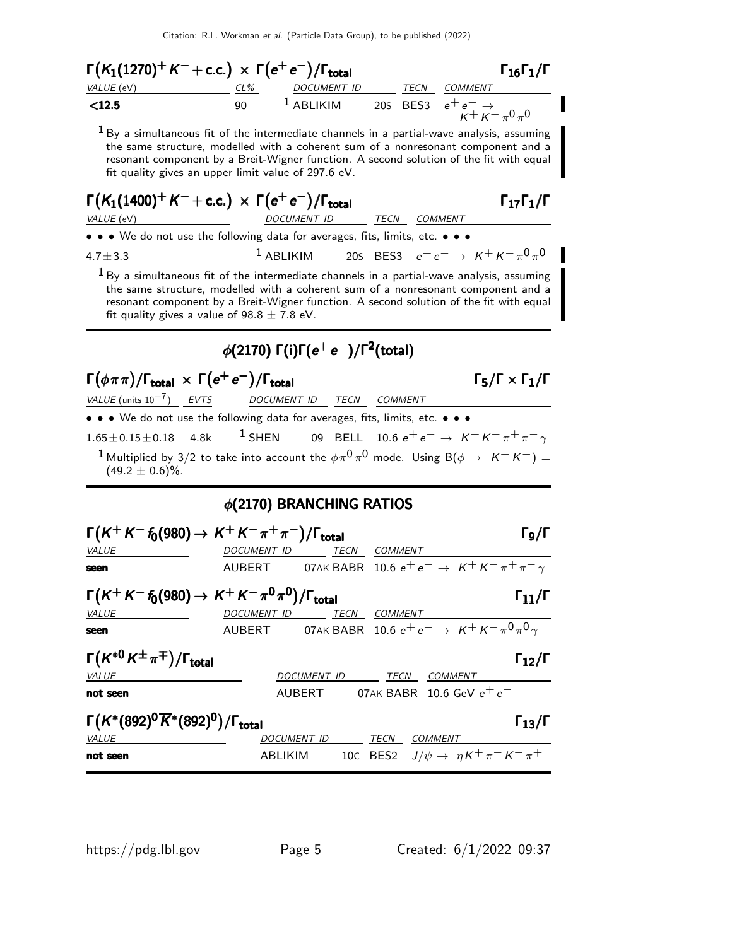Citation: R.L. Workman et al. (Particle Data Group), to be published (2022)

 $\Gamma(K_1(1270)^+ K^- + \text{c.c.}) \times \Gamma(e^+ e^-) / \Gamma_{\text{total}}$  Γ<sub>16</sub>Γ<sub>1</sub>/Γ  $\Gamma_1$ 6 $\Gamma_1/\Gamma$ VALUE (eV)  $CL\%$  DOCUMENT ID TECN COMMENT  $\le$ 12.5 90  $^1$  ABLIKIM 20s BES3  $e^+e^ \tilde{\kappa}$ + $\tilde{\kappa}$ − $\pi$  $0^{\vphantom{*}}_{\pi}$ 0  $<sup>1</sup>$  By a simultaneous fit of the intermediate channels in a partial-wave analysis, assuming</sup> the same structure, modelled with a coherent sum of a nonresonant component and a resonant component by a Breit-Wigner function. A second solution of the fit with equal fit quality gives an upper limit value of 297.6 eV.  $\Gamma(K_1(1400)^+ K^- + \text{c.c.}) \times \Gamma(e^+ e^-)/\Gamma_{\text{total}}$  Γ<sub>17</sub>Γ<sub>1</sub>/Γ VALUE (eV) DOCUMENT ID TECN COMMENT • • • We do not use the following data for averages, fits, limits, etc. • • • 4.7±3.3 <sup>1</sup> ABLIKIM 20S BES3  $e^+e^- \rightarrow K^+K^-\pi^0\pi^0$  $1_{By}$  a simultaneous fit of the intermediate channels in a partial-wave analysis, assuming the same structure, modelled with a coherent sum of a nonresonant component and a resonant component by a Breit-Wigner function. A second solution of the fit with equal fit quality gives a value of  $98.8 \pm 7.8$  eV.  $\phi(2170)$   $\Gamma(\mathsf{i})$ Γ $(\mathsf{e}^+\mathsf{e}^-)$ /Γ $^2$ (total)  $\Gamma(\phi \pi \pi)/\Gamma_{\text{total}} \, \times \, \Gamma(e^+ \, e^-)/\Gamma_{\text{total}}$  Γ<sub>5</sub>/Γ  $\times$  Γ<sub>1</sub>/Γ  $\Gamma_5/\Gamma \times \Gamma_1/\Gamma$ VALUE (units 10<sup>-7</sup>) EVTS DOCUMENT ID TECN COMMENT • • • We do not use the following data for averages, fits, limits, etc. • • •  $1.65\pm0.15\pm0.18$  4.8k <sup>1</sup> SHEN 09 BELL 10.6  $e^+e^- \rightarrow K^+K^-\pi^+\pi^-\gamma$  $^1$ Multiplied by 3/2 to take into account the  $\phi \pi^0 \pi^0$  mode. Using B( $\phi \rightarrow ~~K^+ \, K^-)=$  $(49.2 \pm 0.6)\%$ . φ(2170) BRANCHING RATIOS  $\Gamma(K^+K^-\delta_0(980) \to K^+K^-\pi^+\pi^-)/\Gamma_{\text{total}}$ Γg/Γ VALUE DOCUMENT ID TECN COMMENT seen AUBERT 07AK BABR 10.6  $e^+e^- \rightarrow K^+K^-\pi^+\pi^ \Gamma(K^+K^-\,\hbar(980)\to K^+K^-\,\pi^0\pi^0)/\Gamma_{\rm total}$  Γ $_{11}/\Gamma$ VALUE DOCUMENT ID TECN COMMENT seen AUBERT 07AK BABR 10.6 e+ e− → K+ K− π 0 π 0 γ Γ $(K^{*0} K^{\pm} \pi^{\mp})/\Gamma_{\text{total}}$ /Γ $_{\rm total}$  Γ $_{12}$ /Γ VALUE DOCUMENT ID TECN COMMENT not seen  $\footnotesize{\text{AUBERT}}$  07AK BABR 10.6 GeV  $\footnotesize{\text{e}}^+\text{e}^-$ Γ $(K^*(892)^0\overline{K}^*(892)^0)/\Gamma_{\rm total}$  Γ<sub>13</sub>/Γ VALUE DOCUMENT ID TECN COMMENT not seen ABLIKIM 10C BES2  $J/\psi \to \eta K^+ \pi^- K^- \pi^+$